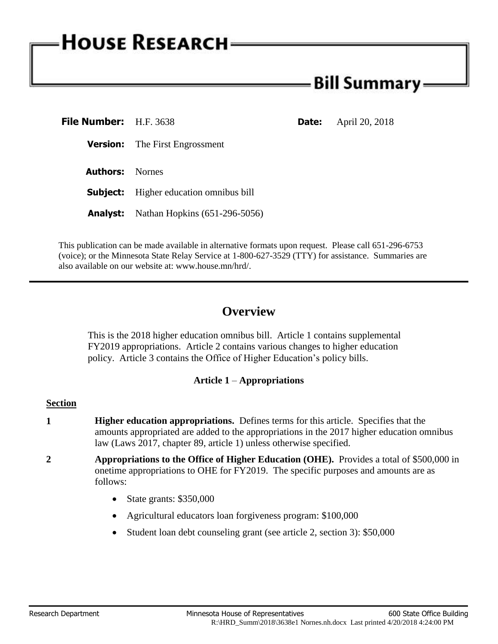# - Bill Summary -

| <b>File Number:</b> H.F. 3638 |                                               | <b>Date:</b> | April 20, 2018 |
|-------------------------------|-----------------------------------------------|--------------|----------------|
|                               | <b>Version:</b> The First Engrossment         |              |                |
| <b>Authors:</b> Nornes        |                                               |              |                |
|                               | <b>Subject:</b> Higher education omnibus bill |              |                |
|                               | <b>Analyst:</b> Nathan Hopkins (651-296-5056) |              |                |

This publication can be made available in alternative formats upon request. Please call 651-296-6753 (voice); or the Minnesota State Relay Service at 1-800-627-3529 (TTY) for assistance. Summaries are also available on our website at: www.house.mn/hrd/.

# **Overview**

This is the 2018 higher education omnibus bill. Article 1 contains supplemental FY2019 appropriations. Article 2 contains various changes to higher education policy. Article 3 contains the Office of Higher Education's policy bills.

# **Article 1** – **Appropriations**

#### **Section**

- **1 Higher education appropriations.** Defines terms for this article. Specifies that the amounts appropriated are added to the appropriations in the 2017 higher education omnibus law (Laws 2017, chapter 89, article 1) unless otherwise specified.
- **2 Appropriations to the Office of Higher Education (OHE).** Provides a total of \$500,000 in onetime appropriations to OHE for FY2019. The specific purposes and amounts are as follows:
	- $\bullet$  State grants: \$350,000
	- Agricultural educators loan forgiveness program: \$100,000
	- Student loan debt counseling grant (see article 2, section 3): \$50,000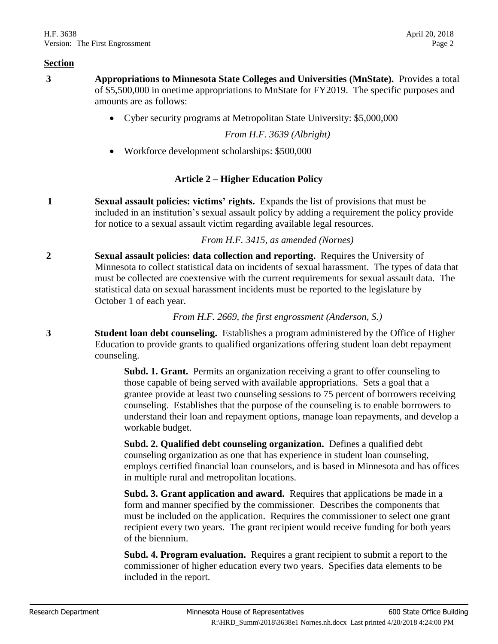- **3 Appropriations to Minnesota State Colleges and Universities (MnState).** Provides a total of \$5,500,000 in onetime appropriations to MnState for FY2019. The specific purposes and amounts are as follows:
	- Cyber security programs at Metropolitan State University: \$5,000,000

*From H.F. 3639 (Albright)*

Workforce development scholarships: \$500,000

# **Article 2 – Higher Education Policy**

**1 Sexual assault policies: victims' rights.** Expands the list of provisions that must be included in an institution's sexual assault policy by adding a requirement the policy provide for notice to a sexual assault victim regarding available legal resources.

*From H.F. 3415, as amended (Nornes)*

**2 Sexual assault policies: data collection and reporting.** Requires the University of Minnesota to collect statistical data on incidents of sexual harassment. The types of data that must be collected are coextensive with the current requirements for sexual assault data. The statistical data on sexual harassment incidents must be reported to the legislature by October 1 of each year.

*From H.F. 2669, the first engrossment (Anderson, S.)*

**3 Student loan debt counseling.** Establishes a program administered by the Office of Higher Education to provide grants to qualified organizations offering student loan debt repayment counseling.

> **Subd. 1. Grant.** Permits an organization receiving a grant to offer counseling to those capable of being served with available appropriations. Sets a goal that a grantee provide at least two counseling sessions to 75 percent of borrowers receiving counseling. Establishes that the purpose of the counseling is to enable borrowers to understand their loan and repayment options, manage loan repayments, and develop a workable budget.

> **Subd. 2. Qualified debt counseling organization.** Defines a qualified debt counseling organization as one that has experience in student loan counseling, employs certified financial loan counselors, and is based in Minnesota and has offices in multiple rural and metropolitan locations.

**Subd. 3. Grant application and award.** Requires that applications be made in a form and manner specified by the commissioner. Describes the components that must be included on the application. Requires the commissioner to select one grant recipient every two years. The grant recipient would receive funding for both years of the biennium.

**Subd. 4. Program evaluation.** Requires a grant recipient to submit a report to the commissioner of higher education every two years. Specifies data elements to be included in the report.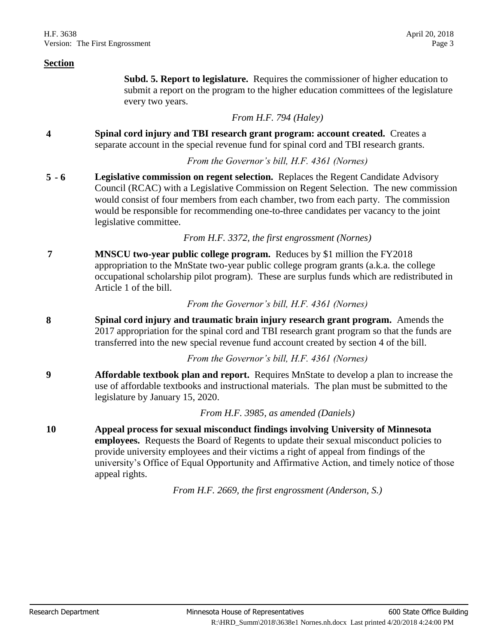**Subd. 5. Report to legislature.** Requires the commissioner of higher education to submit a report on the program to the higher education committees of the legislature every two years.

#### *From H.F. 794 (Haley)*

**4 Spinal cord injury and TBI research grant program: account created.** Creates a separate account in the special revenue fund for spinal cord and TBI research grants.

### *From the Governor's bill, H.F. 4361 (Nornes)*

**5 - 6 Legislative commission on regent selection.** Replaces the Regent Candidate Advisory Council (RCAC) with a Legislative Commission on Regent Selection. The new commission would consist of four members from each chamber, two from each party. The commission would be responsible for recommending one-to-three candidates per vacancy to the joint legislative committee.

## *From H.F. 3372, the first engrossment (Nornes)*

**7 MNSCU two-year public college program.** Reduces by \$1 million the FY2018 appropriation to the MnState two-year public college program grants (a.k.a. the college occupational scholarship pilot program). These are surplus funds which are redistributed in Article 1 of the bill.

*From the Governor's bill, H.F. 4361 (Nornes)*

**8 Spinal cord injury and traumatic brain injury research grant program.** Amends the 2017 appropriation for the spinal cord and TBI research grant program so that the funds are transferred into the new special revenue fund account created by section 4 of the bill.

*From the Governor's bill, H.F. 4361 (Nornes)*

**9 Affordable textbook plan and report.** Requires MnState to develop a plan to increase the use of affordable textbooks and instructional materials. The plan must be submitted to the legislature by January 15, 2020.

*From H.F. 3985, as amended (Daniels)*

**10 Appeal process for sexual misconduct findings involving University of Minnesota employees.** Requests the Board of Regents to update their sexual misconduct policies to provide university employees and their victims a right of appeal from findings of the university's Office of Equal Opportunity and Affirmative Action, and timely notice of those appeal rights.

*From H.F. 2669, the first engrossment (Anderson, S.)*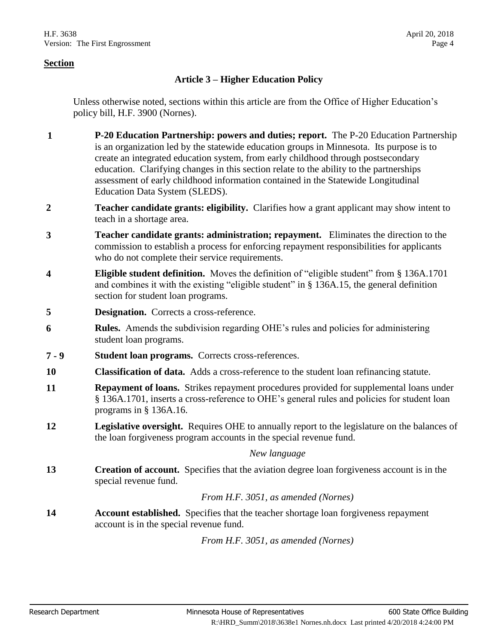# **Article 3 – Higher Education Policy**

Unless otherwise noted, sections within this article are from the Office of Higher Education's policy bill, H.F. 3900 (Nornes).

- **1 P-20 Education Partnership: powers and duties; report.** The P-20 Education Partnership is an organization led by the statewide education groups in Minnesota. Its purpose is to create an integrated education system, from early childhood through postsecondary education. Clarifying changes in this section relate to the ability to the partnerships assessment of early childhood information contained in the Statewide Longitudinal Education Data System (SLEDS).
- **2 Teacher candidate grants: eligibility.** Clarifies how a grant applicant may show intent to teach in a shortage area.
- **3 Teacher candidate grants: administration; repayment.** Eliminates the direction to the commission to establish a process for enforcing repayment responsibilities for applicants who do not complete their service requirements.
- **4 Eligible student definition.** Moves the definition of "eligible student" from § 136A.1701 and combines it with the existing "eligible student" in § 136A.15, the general definition section for student loan programs.
- **5 Designation.** Corrects a cross-reference.
- **6 Rules.** Amends the subdivision regarding OHE's rules and policies for administering student loan programs.
- **7 - 9 Student loan programs.** Corrects cross-references.
- **10 Classification of data.** Adds a cross-reference to the student loan refinancing statute.
- **11 Repayment of loans.** Strikes repayment procedures provided for supplemental loans under § 136A.1701, inserts a cross-reference to OHE's general rules and policies for student loan programs in § 136A.16.
- **12 Legislative oversight.** Requires OHE to annually report to the legislature on the balances of the loan forgiveness program accounts in the special revenue fund.

#### *New language*

**13 Creation of account.** Specifies that the aviation degree loan forgiveness account is in the special revenue fund.

# *From H.F. 3051, as amended (Nornes)*

**14 Account established.** Specifies that the teacher shortage loan forgiveness repayment account is in the special revenue fund.

*From H.F. 3051, as amended (Nornes)*